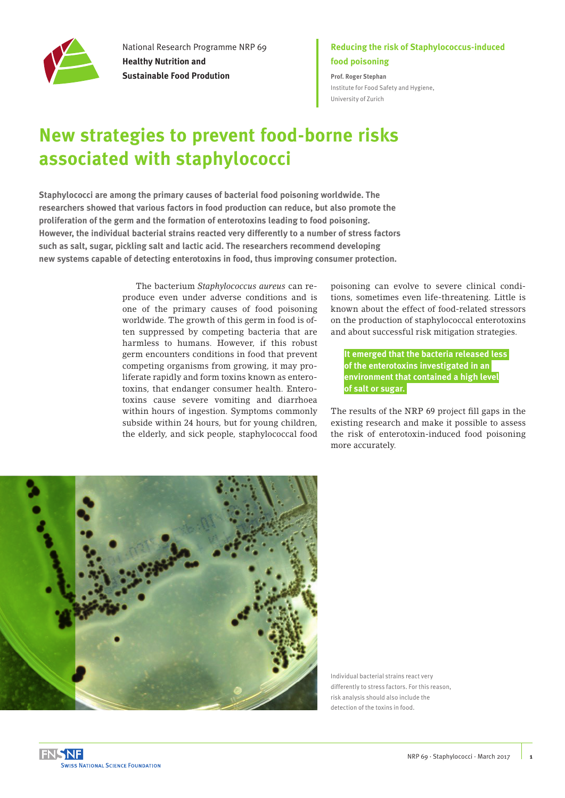

National Research Programme NRP 69 **Healthy Nutrition and Sustainable Food Prodution**

### **Reducing the risk of Staphylococcus-induced food poisoning**

**Prof. Roger Stephan** [Institute for Food Safety and Hygiene,](http://www.ils.uzh.ch/en.html)  [University of Zurich](http://www.ils.uzh.ch/en.html)

# **New strategies to prevent food-borne risks associated with staphylococci**

**Staphylococci are among the primary causes of bacterial food poisoning worldwide. The researchers showed that various factors in food production can reduce, but also promote the proliferation of the germ and the formation of enterotoxins leading to food poisoning. However, the individual bacterial strains reacted very differently to a number of stress factors such as salt, sugar, pickling salt and lactic acid. The researchers recommend developing new systems capable of detecting enterotoxins in food, thus improving consumer protection.** 

> The bacterium *Staphylococcus aureus* can reproduce even under adverse conditions and is one of the primary causes of food poisoning worldwide. The growth of this germ in food is often suppressed by competing bacteria that are harmless to humans. However, if this robust germ encounters conditions in food that prevent competing organisms from growing, it may proliferate rapidly and form toxins known as enterotoxins, that endanger consumer health. Enterotoxins cause severe vomiting and diarrhoea within hours of ingestion. Symptoms commonly subside within 24 hours, but for young children, the elderly, and sick people, staphylococcal food

poisoning can evolve to severe clinical conditions, sometimes even life-threatening. Little is known about the effect of food-related stressors on the production of staphylococcal enterotoxins and about successful risk mitigation strategies.

**It emerged that the bacteria released less of the enterotoxins investigated in an environment that contained a high level of salt or sugar.** 

The results of the NRP 69 project fill gaps in the existing research and make it possible to assess the risk of enterotoxin-induced food poisoning more accurately.



Individual bacterial strains react very differently to stress factors. For this reason, risk analysis should also include the detection of the toxins in food.